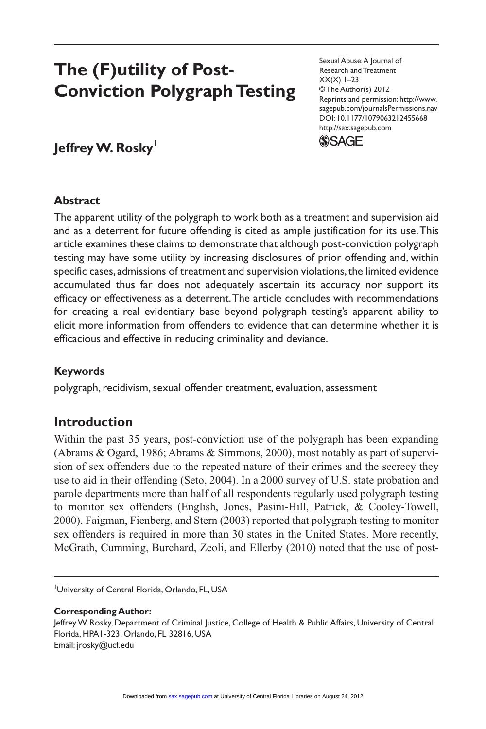# **The (F)utility of Post-Conviction Polygraph Testing**

Sexual Abuse: A Journal of Research and Treatment  $XX(X)$  1–23 © The Author(s) 2012 Reprints and permission: http://www. sagepub.com/journalsPermissions.nav DOI: 10.1177/1079063212455668 http://sax.sagepub.com



# Jeffrey W. Rosky<sup>1</sup>

### **Abstract**

The apparent utility of the polygraph to work both as a treatment and supervision aid and as a deterrent for future offending is cited as ample justification for its use. This article examines these claims to demonstrate that although post-conviction polygraph testing may have some utility by increasing disclosures of prior offending and, within specific cases, admissions of treatment and supervision violations, the limited evidence accumulated thus far does not adequately ascertain its accuracy nor support its efficacy or effectiveness as a deterrent. The article concludes with recommendations for creating a real evidentiary base beyond polygraph testing's apparent ability to elicit more information from offenders to evidence that can determine whether it is efficacious and effective in reducing criminality and deviance.

### **Keywords**

polygraph, recidivism, sexual offender treatment, evaluation, assessment

# **Introduction**

Within the past 35 years, post-conviction use of the polygraph has been expanding (Abrams & Ogard, 1986; Abrams & Simmons, 2000), most notably as part of supervision of sex offenders due to the repeated nature of their crimes and the secrecy they use to aid in their offending (Seto, 2004). In a 2000 survey of U.S. state probation and parole departments more than half of all respondents regularly used polygraph testing to monitor sex offenders (English, Jones, Pasini-Hill, Patrick, & Cooley-Towell, 2000). Faigman, Fienberg, and Stern (2003) reported that polygraph testing to monitor sex offenders is required in more than 30 states in the United States. More recently, McGrath, Cumming, Burchard, Zeoli, and Ellerby (2010) noted that the use of post-

<sup>1</sup>University of Central Florida, Orlando, FL, USA

**Corresponding Author:**

Jeffrey W. Rosky, Department of Criminal Justice, College of Health & Public Affairs, University of Central Florida, HPA1-323, Orlando, FL 32816, USA Email: jrosky@ucf.edu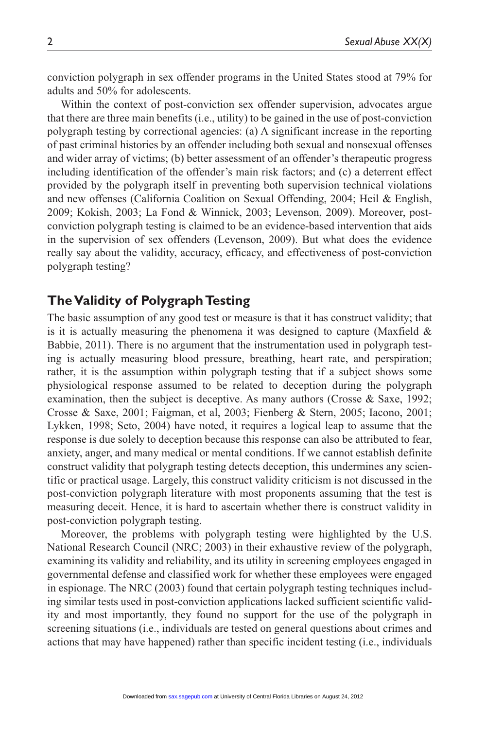conviction polygraph in sex offender programs in the United States stood at 79% for adults and 50% for adolescents.

Within the context of post-conviction sex offender supervision, advocates argue that there are three main benefits (i.e., utility) to be gained in the use of post-conviction polygraph testing by correctional agencies: (a) A significant increase in the reporting of past criminal histories by an offender including both sexual and nonsexual offenses and wider array of victims; (b) better assessment of an offender's therapeutic progress including identification of the offender's main risk factors; and (c) a deterrent effect provided by the polygraph itself in preventing both supervision technical violations and new offenses (California Coalition on Sexual Offending, 2004; Heil & English, 2009; Kokish, 2003; La Fond & Winnick, 2003; Levenson, 2009). Moreover, postconviction polygraph testing is claimed to be an evidence-based intervention that aids in the supervision of sex offenders (Levenson, 2009). But what does the evidence really say about the validity, accuracy, efficacy, and effectiveness of post-conviction polygraph testing?

# **The Validity of Polygraph Testing**

The basic assumption of any good test or measure is that it has construct validity; that is it is actually measuring the phenomena it was designed to capture (Maxfield  $\&$ Babbie, 2011). There is no argument that the instrumentation used in polygraph testing is actually measuring blood pressure, breathing, heart rate, and perspiration; rather, it is the assumption within polygraph testing that if a subject shows some physiological response assumed to be related to deception during the polygraph examination, then the subject is deceptive. As many authors (Crosse & Saxe, 1992; Crosse & Saxe, 2001; Faigman, et al, 2003; Fienberg & Stern, 2005; Iacono, 2001; Lykken, 1998; Seto, 2004) have noted, it requires a logical leap to assume that the response is due solely to deception because this response can also be attributed to fear, anxiety, anger, and many medical or mental conditions. If we cannot establish definite construct validity that polygraph testing detects deception, this undermines any scientific or practical usage. Largely, this construct validity criticism is not discussed in the post-conviction polygraph literature with most proponents assuming that the test is measuring deceit. Hence, it is hard to ascertain whether there is construct validity in post-conviction polygraph testing.

Moreover, the problems with polygraph testing were highlighted by the U.S. National Research Council (NRC; 2003) in their exhaustive review of the polygraph, examining its validity and reliability, and its utility in screening employees engaged in governmental defense and classified work for whether these employees were engaged in espionage. The NRC (2003) found that certain polygraph testing techniques including similar tests used in post-conviction applications lacked sufficient scientific validity and most importantly, they found no support for the use of the polygraph in screening situations (i.e., individuals are tested on general questions about crimes and actions that may have happened) rather than specific incident testing (i.e., individuals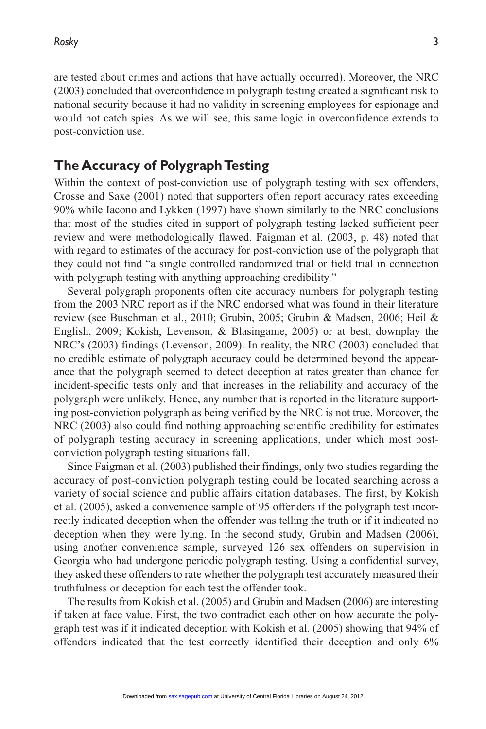are tested about crimes and actions that have actually occurred). Moreover, the NRC (2003) concluded that overconfidence in polygraph testing created a significant risk to national security because it had no validity in screening employees for espionage and would not catch spies. As we will see, this same logic in overconfidence extends to post-conviction use.

### **The Accuracy of Polygraph Testing**

Within the context of post-conviction use of polygraph testing with sex offenders, Crosse and Saxe (2001) noted that supporters often report accuracy rates exceeding 90% while Iacono and Lykken (1997) have shown similarly to the NRC conclusions that most of the studies cited in support of polygraph testing lacked sufficient peer review and were methodologically flawed. Faigman et al. (2003, p. 48) noted that with regard to estimates of the accuracy for post-conviction use of the polygraph that they could not find "a single controlled randomized trial or field trial in connection with polygraph testing with anything approaching credibility."

Several polygraph proponents often cite accuracy numbers for polygraph testing from the 2003 NRC report as if the NRC endorsed what was found in their literature review (see Buschman et al., 2010; Grubin, 2005; Grubin & Madsen, 2006; Heil & English, 2009; Kokish, Levenson, & Blasingame, 2005) or at best, downplay the NRC's (2003) findings (Levenson, 2009). In reality, the NRC (2003) concluded that no credible estimate of polygraph accuracy could be determined beyond the appearance that the polygraph seemed to detect deception at rates greater than chance for incident-specific tests only and that increases in the reliability and accuracy of the polygraph were unlikely. Hence, any number that is reported in the literature supporting post-conviction polygraph as being verified by the NRC is not true. Moreover, the NRC (2003) also could find nothing approaching scientific credibility for estimates of polygraph testing accuracy in screening applications, under which most postconviction polygraph testing situations fall.

Since Faigman et al. (2003) published their findings, only two studies regarding the accuracy of post-conviction polygraph testing could be located searching across a variety of social science and public affairs citation databases. The first, by Kokish et al. (2005), asked a convenience sample of 95 offenders if the polygraph test incorrectly indicated deception when the offender was telling the truth or if it indicated no deception when they were lying. In the second study, Grubin and Madsen (2006), using another convenience sample, surveyed 126 sex offenders on supervision in Georgia who had undergone periodic polygraph testing. Using a confidential survey, they asked these offenders to rate whether the polygraph test accurately measured their truthfulness or deception for each test the offender took.

The results from Kokish et al. (2005) and Grubin and Madsen (2006) are interesting if taken at face value. First, the two contradict each other on how accurate the polygraph test was if it indicated deception with Kokish et al. (2005) showing that 94% of offenders indicated that the test correctly identified their deception and only 6%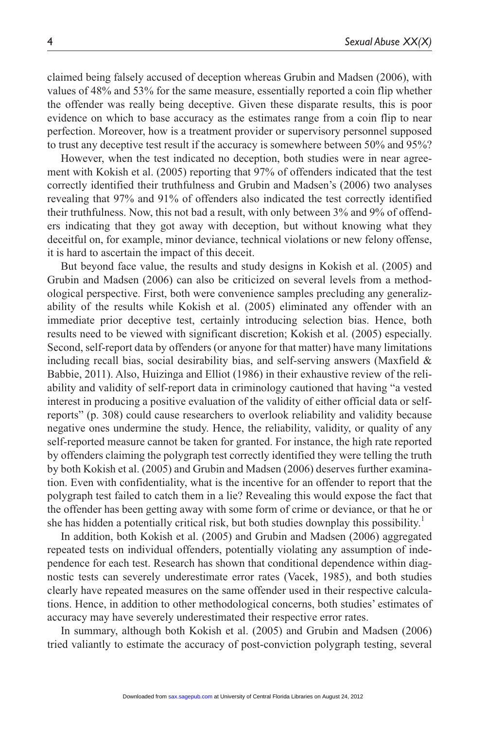claimed being falsely accused of deception whereas Grubin and Madsen (2006), with values of 48% and 53% for the same measure, essentially reported a coin flip whether the offender was really being deceptive. Given these disparate results, this is poor evidence on which to base accuracy as the estimates range from a coin flip to near perfection. Moreover, how is a treatment provider or supervisory personnel supposed to trust any deceptive test result if the accuracy is somewhere between 50% and 95%?

However, when the test indicated no deception, both studies were in near agreement with Kokish et al. (2005) reporting that 97% of offenders indicated that the test correctly identified their truthfulness and Grubin and Madsen's (2006) two analyses revealing that 97% and 91% of offenders also indicated the test correctly identified their truthfulness. Now, this not bad a result, with only between 3% and 9% of offenders indicating that they got away with deception, but without knowing what they deceitful on, for example, minor deviance, technical violations or new felony offense, it is hard to ascertain the impact of this deceit.

But beyond face value, the results and study designs in Kokish et al. (2005) and Grubin and Madsen (2006) can also be criticized on several levels from a methodological perspective. First, both were convenience samples precluding any generalizability of the results while Kokish et al. (2005) eliminated any offender with an immediate prior deceptive test, certainly introducing selection bias. Hence, both results need to be viewed with significant discretion; Kokish et al. (2005) especially. Second, self-report data by offenders (or anyone for that matter) have many limitations including recall bias, social desirability bias, and self-serving answers (Maxfield  $\&$ Babbie, 2011). Also, Huizinga and Elliot (1986) in their exhaustive review of the reliability and validity of self-report data in criminology cautioned that having "a vested interest in producing a positive evaluation of the validity of either official data or selfreports" (p. 308) could cause researchers to overlook reliability and validity because negative ones undermine the study. Hence, the reliability, validity, or quality of any self-reported measure cannot be taken for granted. For instance, the high rate reported by offenders claiming the polygraph test correctly identified they were telling the truth by both Kokish et al. (2005) and Grubin and Madsen (2006) deserves further examination. Even with confidentiality, what is the incentive for an offender to report that the polygraph test failed to catch them in a lie? Revealing this would expose the fact that the offender has been getting away with some form of crime or deviance, or that he or she has hidden a potentially critical risk, but both studies downplay this possibility.<sup>1</sup>

In addition, both Kokish et al. (2005) and Grubin and Madsen (2006) aggregated repeated tests on individual offenders, potentially violating any assumption of independence for each test. Research has shown that conditional dependence within diagnostic tests can severely underestimate error rates (Vacek, 1985), and both studies clearly have repeated measures on the same offender used in their respective calculations. Hence, in addition to other methodological concerns, both studies' estimates of accuracy may have severely underestimated their respective error rates.

In summary, although both Kokish et al. (2005) and Grubin and Madsen (2006) tried valiantly to estimate the accuracy of post-conviction polygraph testing, several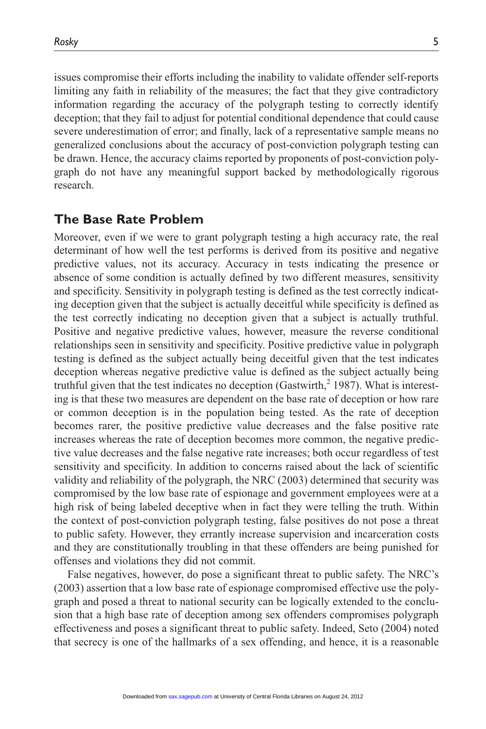issues compromise their efforts including the inability to validate offender self-reports limiting any faith in reliability of the measures; the fact that they give contradictory information regarding the accuracy of the polygraph testing to correctly identify deception; that they fail to adjust for potential conditional dependence that could cause severe underestimation of error; and finally, lack of a representative sample means no generalized conclusions about the accuracy of post-conviction polygraph testing can be drawn. Hence, the accuracy claims reported by proponents of post-conviction polygraph do not have any meaningful support backed by methodologically rigorous research.

### **The Base Rate Problem**

Moreover, even if we were to grant polygraph testing a high accuracy rate, the real determinant of how well the test performs is derived from its positive and negative predictive values, not its accuracy. Accuracy in tests indicating the presence or absence of some condition is actually defined by two different measures, sensitivity and specificity. Sensitivity in polygraph testing is defined as the test correctly indicating deception given that the subject is actually deceitful while specificity is defined as the test correctly indicating no deception given that a subject is actually truthful. Positive and negative predictive values, however, measure the reverse conditional relationships seen in sensitivity and specificity. Positive predictive value in polygraph testing is defined as the subject actually being deceitful given that the test indicates deception whereas negative predictive value is defined as the subject actually being truthful given that the test indicates no deception (Gastwirth, $2$  1987). What is interesting is that these two measures are dependent on the base rate of deception or how rare or common deception is in the population being tested. As the rate of deception becomes rarer, the positive predictive value decreases and the false positive rate increases whereas the rate of deception becomes more common, the negative predictive value decreases and the false negative rate increases; both occur regardless of test sensitivity and specificity. In addition to concerns raised about the lack of scientific validity and reliability of the polygraph, the NRC (2003) determined that security was compromised by the low base rate of espionage and government employees were at a high risk of being labeled deceptive when in fact they were telling the truth. Within the context of post-conviction polygraph testing, false positives do not pose a threat to public safety. However, they errantly increase supervision and incarceration costs and they are constitutionally troubling in that these offenders are being punished for offenses and violations they did not commit.

False negatives, however, do pose a significant threat to public safety. The NRC's (2003) assertion that a low base rate of espionage compromised effective use the polygraph and posed a threat to national security can be logically extended to the conclusion that a high base rate of deception among sex offenders compromises polygraph effectiveness and poses a significant threat to public safety. Indeed, Seto (2004) noted that secrecy is one of the hallmarks of a sex offending, and hence, it is a reasonable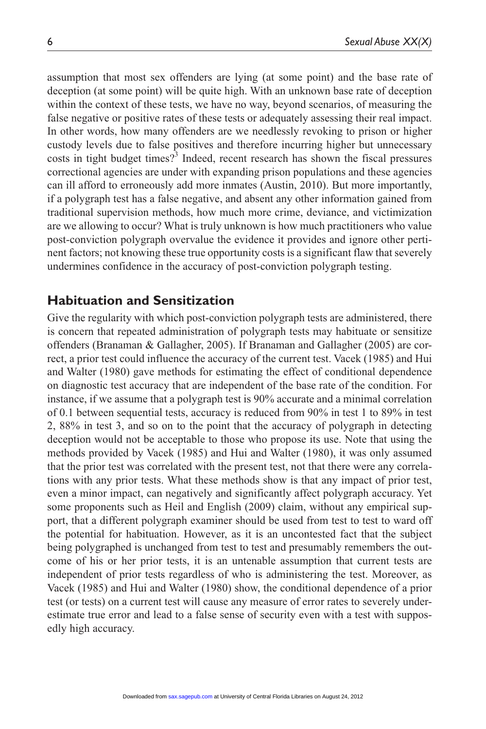assumption that most sex offenders are lying (at some point) and the base rate of deception (at some point) will be quite high. With an unknown base rate of deception within the context of these tests, we have no way, beyond scenarios, of measuring the false negative or positive rates of these tests or adequately assessing their real impact. In other words, how many offenders are we needlessly revoking to prison or higher custody levels due to false positives and therefore incurring higher but unnecessary  $costs$  in tight budget times?<sup>3</sup> Indeed, recent research has shown the fiscal pressures correctional agencies are under with expanding prison populations and these agencies can ill afford to erroneously add more inmates (Austin, 2010). But more importantly, if a polygraph test has a false negative, and absent any other information gained from traditional supervision methods, how much more crime, deviance, and victimization are we allowing to occur? What is truly unknown is how much practitioners who value post-conviction polygraph overvalue the evidence it provides and ignore other pertinent factors; not knowing these true opportunity costs is a significant flaw that severely undermines confidence in the accuracy of post-conviction polygraph testing.

## **Habituation and Sensitization**

Give the regularity with which post-conviction polygraph tests are administered, there is concern that repeated administration of polygraph tests may habituate or sensitize offenders (Branaman & Gallagher, 2005). If Branaman and Gallagher (2005) are correct, a prior test could influence the accuracy of the current test. Vacek (1985) and Hui and Walter (1980) gave methods for estimating the effect of conditional dependence on diagnostic test accuracy that are independent of the base rate of the condition. For instance, if we assume that a polygraph test is 90% accurate and a minimal correlation of 0.1 between sequential tests, accuracy is reduced from 90% in test 1 to 89% in test 2, 88% in test 3, and so on to the point that the accuracy of polygraph in detecting deception would not be acceptable to those who propose its use. Note that using the methods provided by Vacek (1985) and Hui and Walter (1980), it was only assumed that the prior test was correlated with the present test, not that there were any correlations with any prior tests. What these methods show is that any impact of prior test, even a minor impact, can negatively and significantly affect polygraph accuracy. Yet some proponents such as Heil and English (2009) claim, without any empirical support, that a different polygraph examiner should be used from test to test to ward off the potential for habituation. However, as it is an uncontested fact that the subject being polygraphed is unchanged from test to test and presumably remembers the outcome of his or her prior tests, it is an untenable assumption that current tests are independent of prior tests regardless of who is administering the test. Moreover, as Vacek (1985) and Hui and Walter (1980) show, the conditional dependence of a prior test (or tests) on a current test will cause any measure of error rates to severely underestimate true error and lead to a false sense of security even with a test with supposedly high accuracy.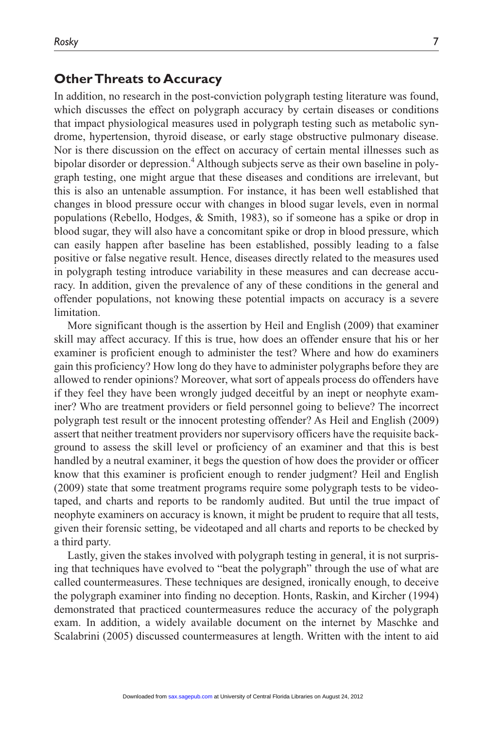#### **Other Threats to Accuracy**

In addition, no research in the post-conviction polygraph testing literature was found, which discusses the effect on polygraph accuracy by certain diseases or conditions that impact physiological measures used in polygraph testing such as metabolic syndrome, hypertension, thyroid disease, or early stage obstructive pulmonary disease. Nor is there discussion on the effect on accuracy of certain mental illnesses such as bipolar disorder or depression.<sup>4</sup> Although subjects serve as their own baseline in polygraph testing, one might argue that these diseases and conditions are irrelevant, but this is also an untenable assumption. For instance, it has been well established that changes in blood pressure occur with changes in blood sugar levels, even in normal populations (Rebello, Hodges, & Smith, 1983), so if someone has a spike or drop in blood sugar, they will also have a concomitant spike or drop in blood pressure, which can easily happen after baseline has been established, possibly leading to a false positive or false negative result. Hence, diseases directly related to the measures used in polygraph testing introduce variability in these measures and can decrease accuracy. In addition, given the prevalence of any of these conditions in the general and offender populations, not knowing these potential impacts on accuracy is a severe limitation.

More significant though is the assertion by Heil and English (2009) that examiner skill may affect accuracy. If this is true, how does an offender ensure that his or her examiner is proficient enough to administer the test? Where and how do examiners gain this proficiency? How long do they have to administer polygraphs before they are allowed to render opinions? Moreover, what sort of appeals process do offenders have if they feel they have been wrongly judged deceitful by an inept or neophyte examiner? Who are treatment providers or field personnel going to believe? The incorrect polygraph test result or the innocent protesting offender? As Heil and English (2009) assert that neither treatment providers nor supervisory officers have the requisite background to assess the skill level or proficiency of an examiner and that this is best handled by a neutral examiner, it begs the question of how does the provider or officer know that this examiner is proficient enough to render judgment? Heil and English (2009) state that some treatment programs require some polygraph tests to be videotaped, and charts and reports to be randomly audited. But until the true impact of neophyte examiners on accuracy is known, it might be prudent to require that all tests, given their forensic setting, be videotaped and all charts and reports to be checked by a third party.

Lastly, given the stakes involved with polygraph testing in general, it is not surprising that techniques have evolved to "beat the polygraph" through the use of what are called countermeasures. These techniques are designed, ironically enough, to deceive the polygraph examiner into finding no deception. Honts, Raskin, and Kircher (1994) demonstrated that practiced countermeasures reduce the accuracy of the polygraph exam. In addition, a widely available document on the internet by Maschke and Scalabrini (2005) discussed countermeasures at length. Written with the intent to aid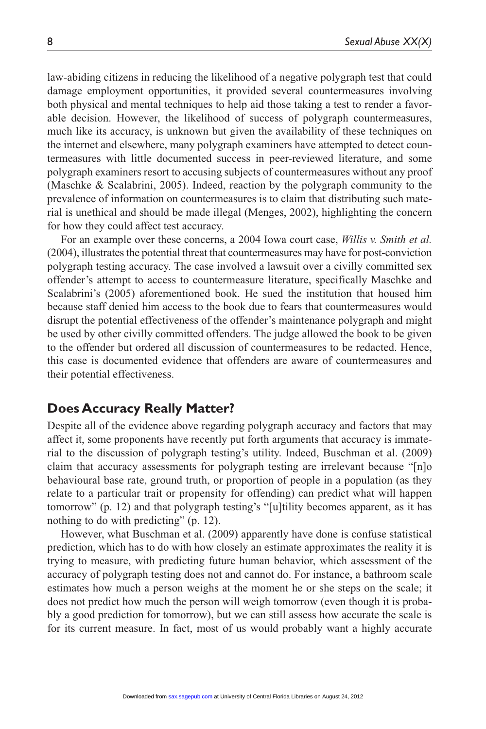law-abiding citizens in reducing the likelihood of a negative polygraph test that could damage employment opportunities, it provided several countermeasures involving both physical and mental techniques to help aid those taking a test to render a favorable decision. However, the likelihood of success of polygraph countermeasures, much like its accuracy, is unknown but given the availability of these techniques on the internet and elsewhere, many polygraph examiners have attempted to detect countermeasures with little documented success in peer-reviewed literature, and some polygraph examiners resort to accusing subjects of countermeasures without any proof (Maschke & Scalabrini, 2005). Indeed, reaction by the polygraph community to the prevalence of information on countermeasures is to claim that distributing such material is unethical and should be made illegal (Menges, 2002), highlighting the concern for how they could affect test accuracy.

For an example over these concerns, a 2004 Iowa court case, *Willis v. Smith et al.* (2004), illustrates the potential threat that countermeasures may have for post-conviction polygraph testing accuracy. The case involved a lawsuit over a civilly committed sex offender's attempt to access to countermeasure literature, specifically Maschke and Scalabrini's (2005) aforementioned book. He sued the institution that housed him because staff denied him access to the book due to fears that countermeasures would disrupt the potential effectiveness of the offender's maintenance polygraph and might be used by other civilly committed offenders. The judge allowed the book to be given to the offender but ordered all discussion of countermeasures to be redacted. Hence, this case is documented evidence that offenders are aware of countermeasures and their potential effectiveness.

# **Does Accuracy Really Matter?**

Despite all of the evidence above regarding polygraph accuracy and factors that may affect it, some proponents have recently put forth arguments that accuracy is immaterial to the discussion of polygraph testing's utility. Indeed, Buschman et al. (2009) claim that accuracy assessments for polygraph testing are irrelevant because "[n]o behavioural base rate, ground truth, or proportion of people in a population (as they relate to a particular trait or propensity for offending) can predict what will happen tomorrow" (p. 12) and that polygraph testing's "[u]tility becomes apparent, as it has nothing to do with predicting" (p. 12).

However, what Buschman et al. (2009) apparently have done is confuse statistical prediction, which has to do with how closely an estimate approximates the reality it is trying to measure, with predicting future human behavior, which assessment of the accuracy of polygraph testing does not and cannot do. For instance, a bathroom scale estimates how much a person weighs at the moment he or she steps on the scale; it does not predict how much the person will weigh tomorrow (even though it is probably a good prediction for tomorrow), but we can still assess how accurate the scale is for its current measure. In fact, most of us would probably want a highly accurate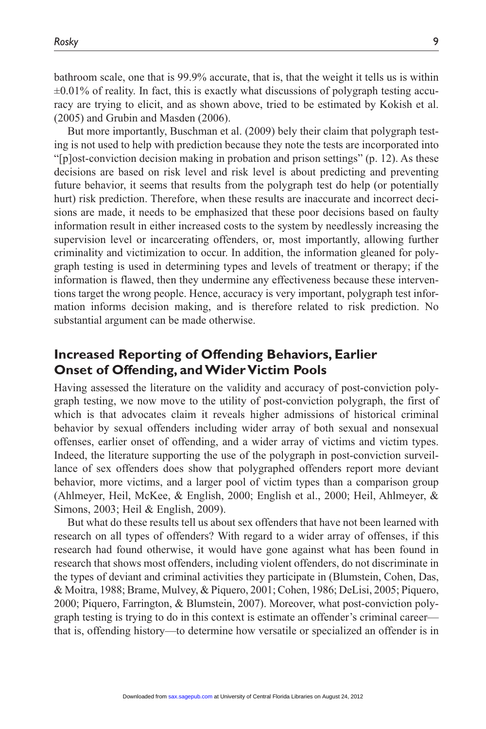bathroom scale, one that is 99.9% accurate, that is, that the weight it tells us is within  $\pm 0.01\%$  of reality. In fact, this is exactly what discussions of polygraph testing accuracy are trying to elicit, and as shown above, tried to be estimated by Kokish et al. (2005) and Grubin and Masden (2006).

But more importantly, Buschman et al. (2009) bely their claim that polygraph testing is not used to help with prediction because they note the tests are incorporated into "[p]ost-conviction decision making in probation and prison settings" (p. 12). As these decisions are based on risk level and risk level is about predicting and preventing future behavior, it seems that results from the polygraph test do help (or potentially hurt) risk prediction. Therefore, when these results are inaccurate and incorrect decisions are made, it needs to be emphasized that these poor decisions based on faulty information result in either increased costs to the system by needlessly increasing the supervision level or incarcerating offenders, or, most importantly, allowing further criminality and victimization to occur. In addition, the information gleaned for polygraph testing is used in determining types and levels of treatment or therapy; if the information is flawed, then they undermine any effectiveness because these interventions target the wrong people. Hence, accuracy is very important, polygraph test information informs decision making, and is therefore related to risk prediction. No substantial argument can be made otherwise.

# **Increased Reporting of Offending Behaviors, Earlier Onset of Offending, and Wider Victim Pools**

Having assessed the literature on the validity and accuracy of post-conviction polygraph testing, we now move to the utility of post-conviction polygraph, the first of which is that advocates claim it reveals higher admissions of historical criminal behavior by sexual offenders including wider array of both sexual and nonsexual offenses, earlier onset of offending, and a wider array of victims and victim types. Indeed, the literature supporting the use of the polygraph in post-conviction surveillance of sex offenders does show that polygraphed offenders report more deviant behavior, more victims, and a larger pool of victim types than a comparison group (Ahlmeyer, Heil, McKee, & English, 2000; English et al., 2000; Heil, Ahlmeyer, & Simons, 2003; Heil & English, 2009).

But what do these results tell us about sex offenders that have not been learned with research on all types of offenders? With regard to a wider array of offenses, if this research had found otherwise, it would have gone against what has been found in research that shows most offenders, including violent offenders, do not discriminate in the types of deviant and criminal activities they participate in (Blumstein, Cohen, Das, & Moitra, 1988; Brame, Mulvey, & Piquero, 2001; Cohen, 1986; DeLisi, 2005; Piquero, 2000; Piquero, Farrington, & Blumstein, 2007). Moreover, what post-conviction polygraph testing is trying to do in this context is estimate an offender's criminal career that is, offending history—to determine how versatile or specialized an offender is in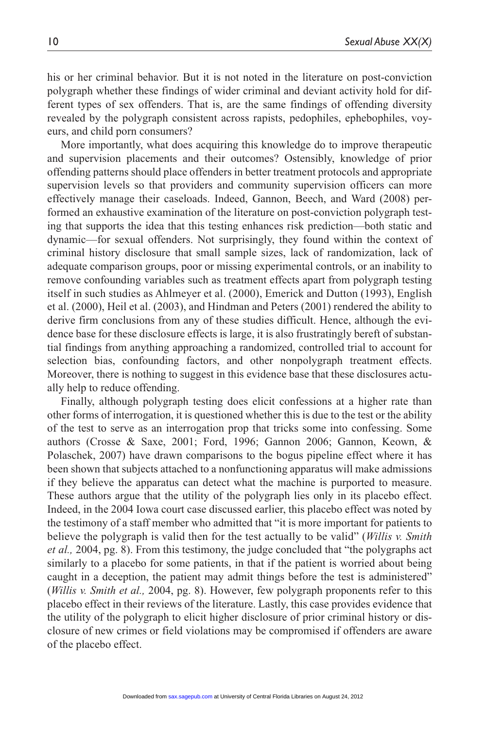his or her criminal behavior. But it is not noted in the literature on post-conviction polygraph whether these findings of wider criminal and deviant activity hold for different types of sex offenders. That is, are the same findings of offending diversity revealed by the polygraph consistent across rapists, pedophiles, ephebophiles, voyeurs, and child porn consumers?

More importantly, what does acquiring this knowledge do to improve therapeutic and supervision placements and their outcomes? Ostensibly, knowledge of prior offending patterns should place offenders in better treatment protocols and appropriate supervision levels so that providers and community supervision officers can more effectively manage their caseloads. Indeed, Gannon, Beech, and Ward (2008) performed an exhaustive examination of the literature on post-conviction polygraph testing that supports the idea that this testing enhances risk prediction—both static and dynamic—for sexual offenders. Not surprisingly, they found within the context of criminal history disclosure that small sample sizes, lack of randomization, lack of adequate comparison groups, poor or missing experimental controls, or an inability to remove confounding variables such as treatment effects apart from polygraph testing itself in such studies as Ahlmeyer et al. (2000), Emerick and Dutton (1993), English et al. (2000), Heil et al. (2003), and Hindman and Peters (2001) rendered the ability to derive firm conclusions from any of these studies difficult. Hence, although the evidence base for these disclosure effects is large, it is also frustratingly bereft of substantial findings from anything approaching a randomized, controlled trial to account for selection bias, confounding factors, and other nonpolygraph treatment effects. Moreover, there is nothing to suggest in this evidence base that these disclosures actually help to reduce offending.

Finally, although polygraph testing does elicit confessions at a higher rate than other forms of interrogation, it is questioned whether this is due to the test or the ability of the test to serve as an interrogation prop that tricks some into confessing. Some authors (Crosse & Saxe, 2001; Ford, 1996; Gannon 2006; Gannon, Keown, & Polaschek, 2007) have drawn comparisons to the bogus pipeline effect where it has been shown that subjects attached to a nonfunctioning apparatus will make admissions if they believe the apparatus can detect what the machine is purported to measure. These authors argue that the utility of the polygraph lies only in its placebo effect. Indeed, in the 2004 Iowa court case discussed earlier, this placebo effect was noted by the testimony of a staff member who admitted that "it is more important for patients to believe the polygraph is valid then for the test actually to be valid" (*Willis v. Smith et al.,* 2004, pg. 8). From this testimony, the judge concluded that "the polygraphs act similarly to a placebo for some patients, in that if the patient is worried about being caught in a deception, the patient may admit things before the test is administered" (*Willis v. Smith et al.,* 2004, pg. 8). However, few polygraph proponents refer to this placebo effect in their reviews of the literature. Lastly, this case provides evidence that the utility of the polygraph to elicit higher disclosure of prior criminal history or disclosure of new crimes or field violations may be compromised if offenders are aware of the placebo effect.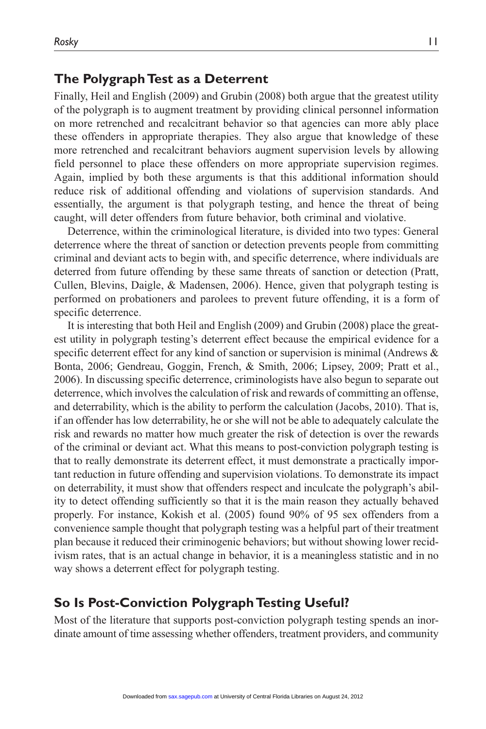### **The Polygraph Test as a Deterrent**

Finally, Heil and English (2009) and Grubin (2008) both argue that the greatest utility of the polygraph is to augment treatment by providing clinical personnel information on more retrenched and recalcitrant behavior so that agencies can more ably place these offenders in appropriate therapies. They also argue that knowledge of these more retrenched and recalcitrant behaviors augment supervision levels by allowing field personnel to place these offenders on more appropriate supervision regimes. Again, implied by both these arguments is that this additional information should reduce risk of additional offending and violations of supervision standards. And essentially, the argument is that polygraph testing, and hence the threat of being caught, will deter offenders from future behavior, both criminal and violative.

Deterrence, within the criminological literature, is divided into two types: General deterrence where the threat of sanction or detection prevents people from committing criminal and deviant acts to begin with, and specific deterrence, where individuals are deterred from future offending by these same threats of sanction or detection (Pratt, Cullen, Blevins, Daigle, & Madensen, 2006). Hence, given that polygraph testing is performed on probationers and parolees to prevent future offending, it is a form of specific deterrence.

It is interesting that both Heil and English (2009) and Grubin (2008) place the greatest utility in polygraph testing's deterrent effect because the empirical evidence for a specific deterrent effect for any kind of sanction or supervision is minimal (Andrews & Bonta, 2006; Gendreau, Goggin, French, & Smith, 2006; Lipsey, 2009; Pratt et al., 2006). In discussing specific deterrence, criminologists have also begun to separate out deterrence, which involves the calculation of risk and rewards of committing an offense, and deterrability, which is the ability to perform the calculation (Jacobs, 2010). That is, if an offender has low deterrability, he or she will not be able to adequately calculate the risk and rewards no matter how much greater the risk of detection is over the rewards of the criminal or deviant act. What this means to post-conviction polygraph testing is that to really demonstrate its deterrent effect, it must demonstrate a practically important reduction in future offending and supervision violations. To demonstrate its impact on deterrability, it must show that offenders respect and inculcate the polygraph's ability to detect offending sufficiently so that it is the main reason they actually behaved properly. For instance, Kokish et al. (2005) found 90% of 95 sex offenders from a convenience sample thought that polygraph testing was a helpful part of their treatment plan because it reduced their criminogenic behaviors; but without showing lower recidivism rates, that is an actual change in behavior, it is a meaningless statistic and in no way shows a deterrent effect for polygraph testing.

# **So Is Post-Conviction Polygraph Testing Useful?**

Most of the literature that supports post-conviction polygraph testing spends an inordinate amount of time assessing whether offenders, treatment providers, and community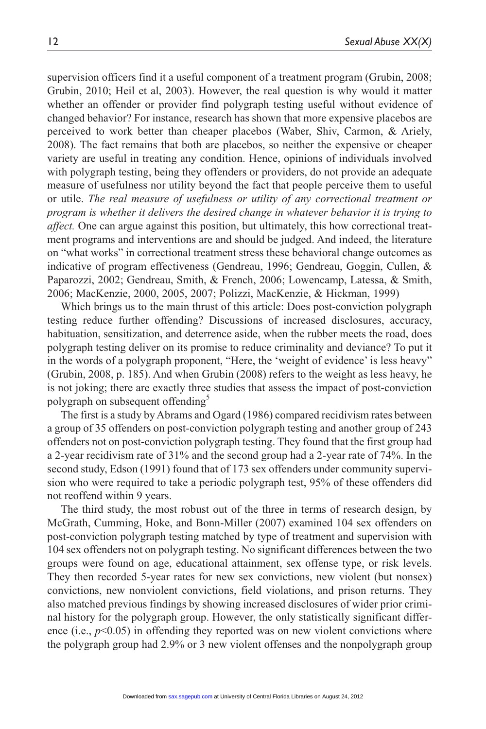supervision officers find it a useful component of a treatment program (Grubin, 2008; Grubin, 2010; Heil et al, 2003). However, the real question is why would it matter whether an offender or provider find polygraph testing useful without evidence of changed behavior? For instance, research has shown that more expensive placebos are perceived to work better than cheaper placebos (Waber, Shiv, Carmon, & Ariely, 2008). The fact remains that both are placebos, so neither the expensive or cheaper variety are useful in treating any condition. Hence, opinions of individuals involved with polygraph testing, being they offenders or providers, do not provide an adequate measure of usefulness nor utility beyond the fact that people perceive them to useful or utile. *The real measure of usefulness or utility of any correctional treatment or program is whether it delivers the desired change in whatever behavior it is trying to affect.* One can argue against this position, but ultimately, this how correctional treatment programs and interventions are and should be judged. And indeed, the literature on "what works" in correctional treatment stress these behavioral change outcomes as indicative of program effectiveness (Gendreau, 1996; Gendreau, Goggin, Cullen, & Paparozzi, 2002; Gendreau, Smith, & French, 2006; Lowencamp, Latessa, & Smith, 2006; MacKenzie, 2000, 2005, 2007; Polizzi, MacKenzie, & Hickman, 1999)

Which brings us to the main thrust of this article: Does post-conviction polygraph testing reduce further offending? Discussions of increased disclosures, accuracy, habituation, sensitization, and deterrence aside, when the rubber meets the road, does polygraph testing deliver on its promise to reduce criminality and deviance? To put it in the words of a polygraph proponent, "Here, the 'weight of evidence' is less heavy" (Grubin, 2008, p. 185). And when Grubin (2008) refers to the weight as less heavy, he is not joking; there are exactly three studies that assess the impact of post-conviction polygraph on subsequent offending<sup>5</sup>

The first is a study by Abrams and Ogard (1986) compared recidivism rates between a group of 35 offenders on post-conviction polygraph testing and another group of 243 offenders not on post-conviction polygraph testing. They found that the first group had a 2-year recidivism rate of 31% and the second group had a 2-year rate of 74%. In the second study, Edson (1991) found that of 173 sex offenders under community supervision who were required to take a periodic polygraph test, 95% of these offenders did not reoffend within 9 years.

The third study, the most robust out of the three in terms of research design, by McGrath, Cumming, Hoke, and Bonn-Miller (2007) examined 104 sex offenders on post-conviction polygraph testing matched by type of treatment and supervision with 104 sex offenders not on polygraph testing. No significant differences between the two groups were found on age, educational attainment, sex offense type, or risk levels. They then recorded 5-year rates for new sex convictions, new violent (but nonsex) convictions, new nonviolent convictions, field violations, and prison returns. They also matched previous findings by showing increased disclosures of wider prior criminal history for the polygraph group. However, the only statistically significant difference (i.e.,  $p<0.05$ ) in offending they reported was on new violent convictions where the polygraph group had 2.9% or 3 new violent offenses and the nonpolygraph group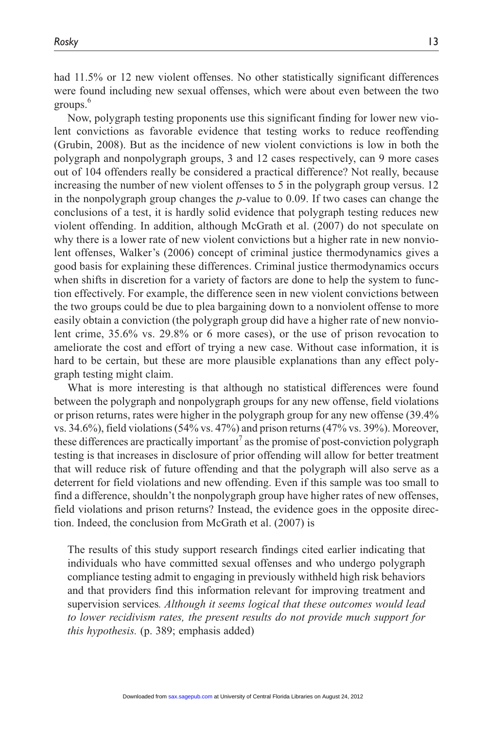had 11.5% or 12 new violent offenses. No other statistically significant differences were found including new sexual offenses, which were about even between the two groups.<sup>6</sup>

Now, polygraph testing proponents use this significant finding for lower new violent convictions as favorable evidence that testing works to reduce reoffending (Grubin, 2008). But as the incidence of new violent convictions is low in both the polygraph and nonpolygraph groups, 3 and 12 cases respectively, can 9 more cases out of 104 offenders really be considered a practical difference? Not really, because increasing the number of new violent offenses to 5 in the polygraph group versus. 12 in the nonpolygraph group changes the *p*-value to 0.09. If two cases can change the conclusions of a test, it is hardly solid evidence that polygraph testing reduces new violent offending. In addition, although McGrath et al. (2007) do not speculate on why there is a lower rate of new violent convictions but a higher rate in new nonviolent offenses, Walker's (2006) concept of criminal justice thermodynamics gives a good basis for explaining these differences. Criminal justice thermodynamics occurs when shifts in discretion for a variety of factors are done to help the system to function effectively. For example, the difference seen in new violent convictions between the two groups could be due to plea bargaining down to a nonviolent offense to more easily obtain a conviction (the polygraph group did have a higher rate of new nonviolent crime, 35.6% vs. 29.8% or 6 more cases), or the use of prison revocation to ameliorate the cost and effort of trying a new case. Without case information, it is hard to be certain, but these are more plausible explanations than any effect polygraph testing might claim.

What is more interesting is that although no statistical differences were found between the polygraph and nonpolygraph groups for any new offense, field violations or prison returns, rates were higher in the polygraph group for any new offense (39.4% vs. 34.6%), field violations (54% vs. 47%) and prison returns (47% vs. 39%). Moreover, these differences are practically important<sup>7</sup> as the promise of post-conviction polygraph testing is that increases in disclosure of prior offending will allow for better treatment that will reduce risk of future offending and that the polygraph will also serve as a deterrent for field violations and new offending. Even if this sample was too small to find a difference, shouldn't the nonpolygraph group have higher rates of new offenses, field violations and prison returns? Instead, the evidence goes in the opposite direction. Indeed, the conclusion from McGrath et al. (2007) is

The results of this study support research findings cited earlier indicating that individuals who have committed sexual offenses and who undergo polygraph compliance testing admit to engaging in previously withheld high risk behaviors and that providers find this information relevant for improving treatment and supervision services*. Although it seems logical that these outcomes would lead to lower recidivism rates, the present results do not provide much support for this hypothesis.* (p. 389; emphasis added)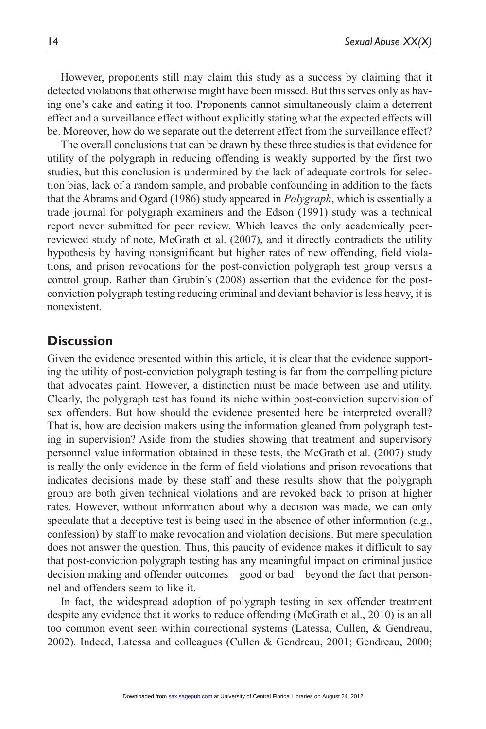However, proponents still may claim this study as a success by claiming that it detected violations that otherwise might have been missed. But this serves only as having one's cake and eating it too. Proponents cannot simultaneously claim a deterrent effect and a surveillance effect without explicitly stating what the expected effects will be. Moreover, how do we separate out the deterrent effect from the surveillance effect?

The overall conclusions that can be drawn by these three studies is that evidence for utility of the polygraph in reducing offending is weakly supported by the first two studies, but this conclusion is undermined by the lack of adequate controls for selection bias, lack of a random sample, and probable confounding in addition to the facts that the Abrams and Ogard (1986) study appeared in *Polygraph*, which is essentially a trade journal for polygraph examiners and the Edson (1991) study was a technical report never submitted for peer review. Which leaves the only academically peerreviewed study of note, McGrath et al. (2007), and it directly contradicts the utility hypothesis by having nonsignificant but higher rates of new offending, field violations, and prison revocations for the post-conviction polygraph test group versus a control group. Rather than Grubin's (2008) assertion that the evidence for the postconviction polygraph testing reducing criminal and deviant behavior is less heavy, it is nonexistent.

### **Discussion**

Given the evidence presented within this article, it is clear that the evidence supporting the utility of post-conviction polygraph testing is far from the compelling picture that advocates paint. However, a distinction must be made between use and utility. Clearly, the polygraph test has found its niche within post-conviction supervision of sex offenders. But how should the evidence presented here be interpreted overall? That is, how are decision makers using the information gleaned from polygraph testing in supervision? Aside from the studies showing that treatment and supervisory personnel value information obtained in these tests, the McGrath et al. (2007) study is really the only evidence in the form of field violations and prison revocations that indicates decisions made by these staff and these results show that the polygraph group are both given technical violations and are revoked back to prison at higher rates. However, without information about why a decision was made, we can only speculate that a deceptive test is being used in the absence of other information (e.g., confession) by staff to make revocation and violation decisions. But mere speculation does not answer the question. Thus, this paucity of evidence makes it difficult to say that post-conviction polygraph testing has any meaningful impact on criminal justice decision making and offender outcomes—good or bad—beyond the fact that personnel and offenders seem to like it.

In fact, the widespread adoption of polygraph testing in sex offender treatment despite any evidence that it works to reduce offending (McGrath et al., 2010) is an all too common event seen within correctional systems (Latessa, Cullen, & Gendreau, 2002). Indeed, Latessa and colleagues (Cullen & Gendreau, 2001; Gendreau, 2000;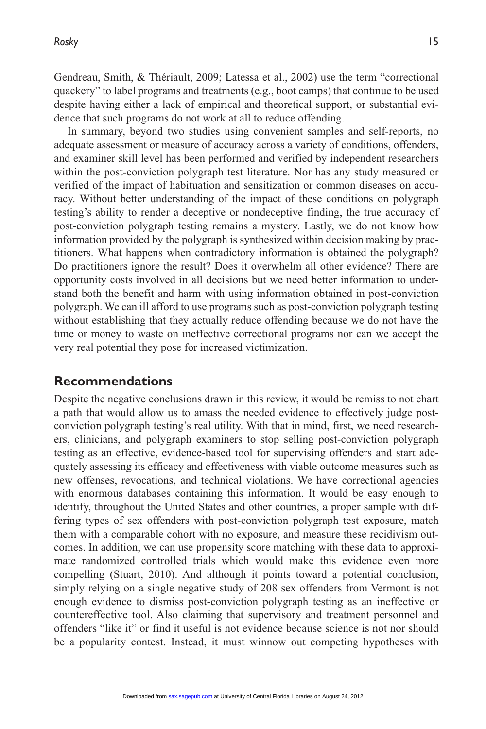Gendreau, Smith, & Thériault, 2009; Latessa et al., 2002) use the term "correctional quackery" to label programs and treatments (e.g., boot camps) that continue to be used despite having either a lack of empirical and theoretical support, or substantial evidence that such programs do not work at all to reduce offending.

In summary, beyond two studies using convenient samples and self-reports, no adequate assessment or measure of accuracy across a variety of conditions, offenders, and examiner skill level has been performed and verified by independent researchers within the post-conviction polygraph test literature. Nor has any study measured or verified of the impact of habituation and sensitization or common diseases on accuracy. Without better understanding of the impact of these conditions on polygraph testing's ability to render a deceptive or nondeceptive finding, the true accuracy of post-conviction polygraph testing remains a mystery. Lastly, we do not know how information provided by the polygraph is synthesized within decision making by practitioners. What happens when contradictory information is obtained the polygraph? Do practitioners ignore the result? Does it overwhelm all other evidence? There are opportunity costs involved in all decisions but we need better information to understand both the benefit and harm with using information obtained in post-conviction polygraph. We can ill afford to use programs such as post-conviction polygraph testing without establishing that they actually reduce offending because we do not have the time or money to waste on ineffective correctional programs nor can we accept the very real potential they pose for increased victimization.

# **Recommendations**

Despite the negative conclusions drawn in this review, it would be remiss to not chart a path that would allow us to amass the needed evidence to effectively judge postconviction polygraph testing's real utility. With that in mind, first, we need researchers, clinicians, and polygraph examiners to stop selling post-conviction polygraph testing as an effective, evidence-based tool for supervising offenders and start adequately assessing its efficacy and effectiveness with viable outcome measures such as new offenses, revocations, and technical violations. We have correctional agencies with enormous databases containing this information. It would be easy enough to identify, throughout the United States and other countries, a proper sample with differing types of sex offenders with post-conviction polygraph test exposure, match them with a comparable cohort with no exposure, and measure these recidivism outcomes. In addition, we can use propensity score matching with these data to approximate randomized controlled trials which would make this evidence even more compelling (Stuart, 2010). And although it points toward a potential conclusion, simply relying on a single negative study of 208 sex offenders from Vermont is not enough evidence to dismiss post-conviction polygraph testing as an ineffective or countereffective tool. Also claiming that supervisory and treatment personnel and offenders "like it" or find it useful is not evidence because science is not nor should be a popularity contest. Instead, it must winnow out competing hypotheses with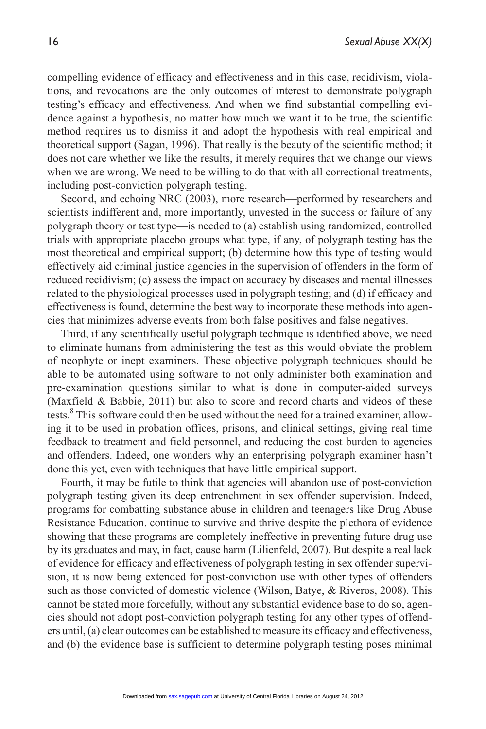compelling evidence of efficacy and effectiveness and in this case, recidivism, violations, and revocations are the only outcomes of interest to demonstrate polygraph testing's efficacy and effectiveness. And when we find substantial compelling evidence against a hypothesis, no matter how much we want it to be true, the scientific method requires us to dismiss it and adopt the hypothesis with real empirical and theoretical support (Sagan, 1996). That really is the beauty of the scientific method; it does not care whether we like the results, it merely requires that we change our views when we are wrong. We need to be willing to do that with all correctional treatments, including post-conviction polygraph testing.

Second, and echoing NRC (2003), more research—performed by researchers and scientists indifferent and, more importantly, unvested in the success or failure of any polygraph theory or test type—is needed to (a) establish using randomized, controlled trials with appropriate placebo groups what type, if any, of polygraph testing has the most theoretical and empirical support; (b) determine how this type of testing would effectively aid criminal justice agencies in the supervision of offenders in the form of reduced recidivism; (c) assess the impact on accuracy by diseases and mental illnesses related to the physiological processes used in polygraph testing; and (d) if efficacy and effectiveness is found, determine the best way to incorporate these methods into agencies that minimizes adverse events from both false positives and false negatives.

Third, if any scientifically useful polygraph technique is identified above, we need to eliminate humans from administering the test as this would obviate the problem of neophyte or inept examiners. These objective polygraph techniques should be able to be automated using software to not only administer both examination and pre-examination questions similar to what is done in computer-aided surveys (Maxfield & Babbie, 2011) but also to score and record charts and videos of these tests.<sup>8</sup> This software could then be used without the need for a trained examiner, allowing it to be used in probation offices, prisons, and clinical settings, giving real time feedback to treatment and field personnel, and reducing the cost burden to agencies and offenders. Indeed, one wonders why an enterprising polygraph examiner hasn't done this yet, even with techniques that have little empirical support.

Fourth, it may be futile to think that agencies will abandon use of post-conviction polygraph testing given its deep entrenchment in sex offender supervision. Indeed, programs for combatting substance abuse in children and teenagers like Drug Abuse Resistance Education. continue to survive and thrive despite the plethora of evidence showing that these programs are completely ineffective in preventing future drug use by its graduates and may, in fact, cause harm (Lilienfeld, 2007). But despite a real lack of evidence for efficacy and effectiveness of polygraph testing in sex offender supervision, it is now being extended for post-conviction use with other types of offenders such as those convicted of domestic violence (Wilson, Batye, & Riveros, 2008). This cannot be stated more forcefully, without any substantial evidence base to do so, agencies should not adopt post-conviction polygraph testing for any other types of offenders until, (a) clear outcomes can be established to measure its efficacy and effectiveness, and (b) the evidence base is sufficient to determine polygraph testing poses minimal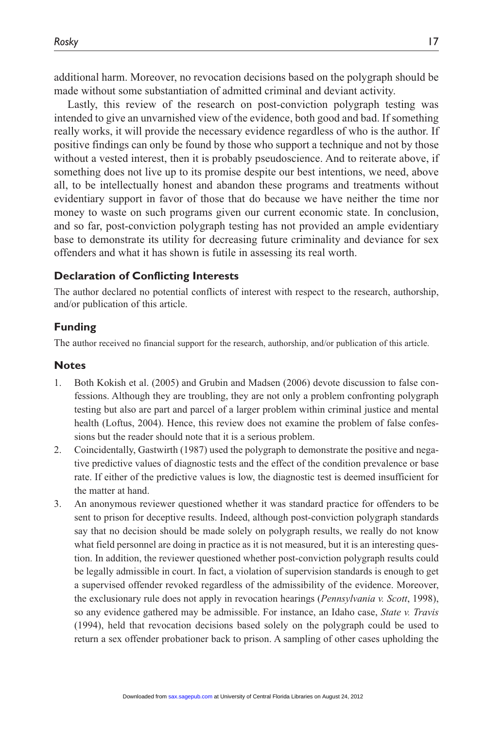additional harm. Moreover, no revocation decisions based on the polygraph should be made without some substantiation of admitted criminal and deviant activity.

Lastly, this review of the research on post-conviction polygraph testing was intended to give an unvarnished view of the evidence, both good and bad. If something really works, it will provide the necessary evidence regardless of who is the author. If positive findings can only be found by those who support a technique and not by those without a vested interest, then it is probably pseudoscience. And to reiterate above, if something does not live up to its promise despite our best intentions, we need, above all, to be intellectually honest and abandon these programs and treatments without evidentiary support in favor of those that do because we have neither the time nor money to waste on such programs given our current economic state. In conclusion, and so far, post-conviction polygraph testing has not provided an ample evidentiary base to demonstrate its utility for decreasing future criminality and deviance for sex offenders and what it has shown is futile in assessing its real worth.

#### **Declaration of Conflicting Interests**

The author declared no potential conflicts of interest with respect to the research, authorship, and/or publication of this article.

#### **Funding**

The author received no financial support for the research, authorship, and/or publication of this article.

#### **Notes**

- 1. Both Kokish et al. (2005) and Grubin and Madsen (2006) devote discussion to false confessions. Although they are troubling, they are not only a problem confronting polygraph testing but also are part and parcel of a larger problem within criminal justice and mental health (Loftus, 2004). Hence, this review does not examine the problem of false confessions but the reader should note that it is a serious problem.
- 2. Coincidentally, Gastwirth (1987) used the polygraph to demonstrate the positive and negative predictive values of diagnostic tests and the effect of the condition prevalence or base rate. If either of the predictive values is low, the diagnostic test is deemed insufficient for the matter at hand.
- 3. An anonymous reviewer questioned whether it was standard practice for offenders to be sent to prison for deceptive results. Indeed, although post-conviction polygraph standards say that no decision should be made solely on polygraph results, we really do not know what field personnel are doing in practice as it is not measured, but it is an interesting question. In addition, the reviewer questioned whether post-conviction polygraph results could be legally admissible in court. In fact, a violation of supervision standards is enough to get a supervised offender revoked regardless of the admissibility of the evidence. Moreover, the exclusionary rule does not apply in revocation hearings (*Pennsylvania v. Scott*, 1998), so any evidence gathered may be admissible. For instance, an Idaho case, *State v. Travis* (1994), held that revocation decisions based solely on the polygraph could be used to return a sex offender probationer back to prison. A sampling of other cases upholding the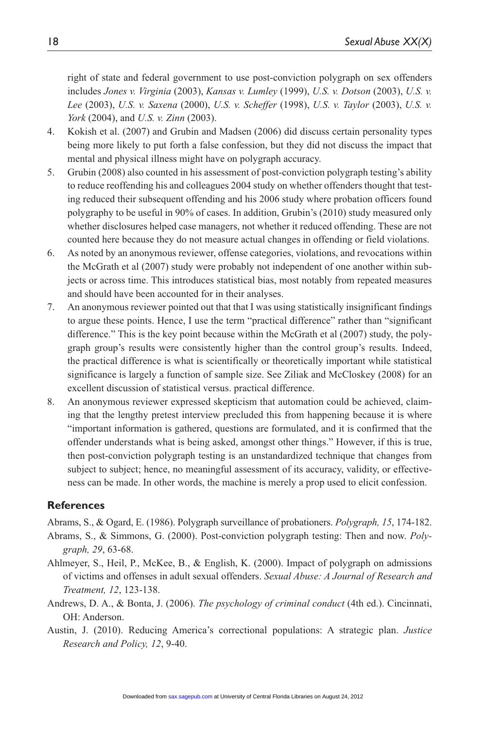right of state and federal government to use post-conviction polygraph on sex offenders includes *Jones v. Virginia* (2003), *Kansas v. Lumley* (1999), *U.S. v. Dotson* (2003), *U.S. v. Lee* (2003), *U.S. v. Saxena* (2000), *U.S. v. Scheffer* (1998), *U.S. v. Taylor* (2003), *U.S. v. York* (2004), and *U.S. v. Zinn* (2003).

- 4. Kokish et al. (2007) and Grubin and Madsen (2006) did discuss certain personality types being more likely to put forth a false confession, but they did not discuss the impact that mental and physical illness might have on polygraph accuracy.
- 5. Grubin (2008) also counted in his assessment of post-conviction polygraph testing's ability to reduce reoffending his and colleagues 2004 study on whether offenders thought that testing reduced their subsequent offending and his 2006 study where probation officers found polygraphy to be useful in 90% of cases. In addition, Grubin's (2010) study measured only whether disclosures helped case managers, not whether it reduced offending. These are not counted here because they do not measure actual changes in offending or field violations.
- 6. As noted by an anonymous reviewer, offense categories, violations, and revocations within the McGrath et al (2007) study were probably not independent of one another within subjects or across time. This introduces statistical bias, most notably from repeated measures and should have been accounted for in their analyses.
- 7. An anonymous reviewer pointed out that that I was using statistically insignificant findings to argue these points. Hence, I use the term "practical difference" rather than "significant difference." This is the key point because within the McGrath et al (2007) study, the polygraph group's results were consistently higher than the control group's results. Indeed, the practical difference is what is scientifically or theoretically important while statistical significance is largely a function of sample size. See Ziliak and McCloskey (2008) for an excellent discussion of statistical versus. practical difference.
- 8. An anonymous reviewer expressed skepticism that automation could be achieved, claiming that the lengthy pretest interview precluded this from happening because it is where "important information is gathered, questions are formulated, and it is confirmed that the offender understands what is being asked, amongst other things." However, if this is true, then post-conviction polygraph testing is an unstandardized technique that changes from subject to subject; hence, no meaningful assessment of its accuracy, validity, or effectiveness can be made. In other words, the machine is merely a prop used to elicit confession.

#### **References**

Abrams, S., & Ogard, E. (1986). Polygraph surveillance of probationers. *Polygraph, 15*, 174-182.

- Abrams, S., & Simmons, G. (2000). Post-conviction polygraph testing: Then and now. *Polygraph, 29*, 63-68.
- Ahlmeyer, S., Heil, P., McKee, B., & English, K. (2000). Impact of polygraph on admissions of victims and offenses in adult sexual offenders. *Sexual Abuse: A Journal of Research and Treatment, 12*, 123-138.
- Andrews, D. A., & Bonta, J. (2006). *The psychology of criminal conduct* (4th ed.). Cincinnati, OH: Anderson.
- Austin, J. (2010). Reducing America's correctional populations: A strategic plan. *Justice Research and Policy, 12*, 9-40.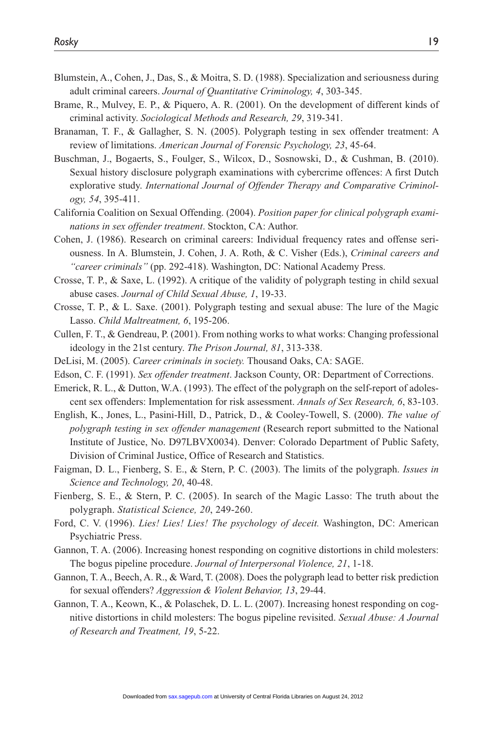- Blumstein, A., Cohen, J., Das, S., & Moitra, S. D. (1988). Specialization and seriousness during adult criminal careers. *Journal of Quantitative Criminology, 4*, 303-345.
- Brame, R., Mulvey, E. P., & Piquero, A. R. (2001). On the development of different kinds of criminal activity. *Sociological Methods and Research, 29*, 319-341.
- Branaman, T. F., & Gallagher, S. N. (2005). Polygraph testing in sex offender treatment: A review of limitations. *American Journal of Forensic Psychology, 23*, 45-64.
- Buschman, J., Bogaerts, S., Foulger, S., Wilcox, D., Sosnowski, D., & Cushman, B. (2010). Sexual history disclosure polygraph examinations with cybercrime offences: A first Dutch explorative study. *International Journal of Offender Therapy and Comparative Criminology, 54*, 395-411.
- California Coalition on Sexual Offending. (2004). *Position paper for clinical polygraph examinations in sex offender treatment*. Stockton, CA: Author.
- Cohen, J. (1986). Research on criminal careers: Individual frequency rates and offense seriousness. In A. Blumstein, J. Cohen, J. A. Roth, & C. Visher (Eds.), *Criminal careers and "career criminals"* (pp. 292-418). Washington, DC: National Academy Press.
- Crosse, T. P., & Saxe, L. (1992). A critique of the validity of polygraph testing in child sexual abuse cases. *Journal of Child Sexual Abuse, 1*, 19-33.
- Crosse, T. P., & L. Saxe. (2001). Polygraph testing and sexual abuse: The lure of the Magic Lasso. *Child Maltreatment, 6*, 195-206.
- Cullen, F. T., & Gendreau, P. (2001). From nothing works to what works: Changing professional ideology in the 21st century. *The Prison Journal, 81*, 313-338.
- DeLisi, M. (2005). *Career criminals in society.* Thousand Oaks, CA: SAGE.
- Edson, C. F. (1991). *Sex offender treatment*. Jackson County, OR: Department of Corrections.
- Emerick, R. L., & Dutton, W.A. (1993). The effect of the polygraph on the self-report of adolescent sex offenders: Implementation for risk assessment. *Annals of Sex Research, 6*, 83-103.
- English, K., Jones, L., Pasini-Hill, D., Patrick, D., & Cooley-Towell, S. (2000). *The value of polygraph testing in sex offender management* (Research report submitted to the National Institute of Justice, No. D97LBVX0034). Denver: Colorado Department of Public Safety, Division of Criminal Justice, Office of Research and Statistics.
- Faigman, D. L., Fienberg, S. E., & Stern, P. C. (2003). The limits of the polygraph. *Issues in Science and Technology, 20*, 40-48.
- Fienberg, S. E., & Stern, P. C. (2005). In search of the Magic Lasso: The truth about the polygraph. *Statistical Science, 20*, 249-260.
- Ford, C. V. (1996). *Lies! Lies! Lies! The psychology of deceit.* Washington, DC: American Psychiatric Press.
- Gannon, T. A. (2006). Increasing honest responding on cognitive distortions in child molesters: The bogus pipeline procedure. *Journal of Interpersonal Violence, 21*, 1-18.
- Gannon, T. A., Beech, A. R., & Ward, T. (2008). Does the polygraph lead to better risk prediction for sexual offenders? *Aggression & Violent Behavior, 13*, 29-44.
- Gannon, T. A., Keown, K., & Polaschek, D. L. L. (2007). Increasing honest responding on cognitive distortions in child molesters: The bogus pipeline revisited. *Sexual Abuse: A Journal of Research and Treatment, 19*, 5-22.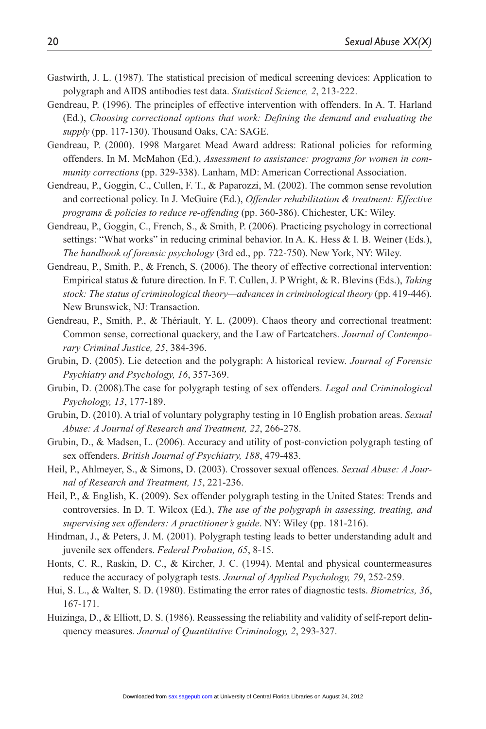- Gastwirth, J. L. (1987). The statistical precision of medical screening devices: Application to polygraph and AIDS antibodies test data. *Statistical Science, 2*, 213-222.
- Gendreau, P. (1996). The principles of effective intervention with offenders. In A. T. Harland (Ed.), *Choosing correctional options that work: Defining the demand and evaluating the supply* (pp. 117-130). Thousand Oaks, CA: SAGE.
- Gendreau, P. (2000). 1998 Margaret Mead Award address: Rational policies for reforming offenders. In M. McMahon (Ed.), *Assessment to assistance: programs for women in community corrections* (pp. 329-338). Lanham, MD: American Correctional Association.
- Gendreau, P., Goggin, C., Cullen, F. T., & Paparozzi, M. (2002). The common sense revolution and correctional policy. In J. McGuire (Ed.), *Offender rehabilitation & treatment: Effective programs & policies to reduce re-offending* (pp. 360-386). Chichester, UK: Wiley.
- Gendreau, P., Goggin, C., French, S., & Smith, P. (2006). Practicing psychology in correctional settings: "What works" in reducing criminal behavior. In A. K. Hess & I. B. Weiner (Eds.), *The handbook of forensic psychology* (3rd ed., pp. 722-750). New York, NY: Wiley.
- Gendreau, P., Smith, P., & French, S. (2006). The theory of effective correctional intervention: Empirical status & future direction. In F. T. Cullen, J. P Wright, & R. Blevins (Eds.), *Taking stock: The status of criminological theory—advances in criminological theory* (pp. 419-446). New Brunswick, NJ: Transaction.
- Gendreau, P., Smith, P., & Thériault, Y. L. (2009). Chaos theory and correctional treatment: Common sense, correctional quackery, and the Law of Fartcatchers. *Journal of Contemporary Criminal Justice, 25*, 384-396.
- Grubin, D. (2005). Lie detection and the polygraph: A historical review. *Journal of Forensic Psychiatry and Psychology, 16*, 357-369.
- Grubin, D. (2008).The case for polygraph testing of sex offenders. *Legal and Criminological Psychology, 13*, 177-189.
- Grubin, D. (2010). A trial of voluntary polygraphy testing in 10 English probation areas. *Sexual Abuse: A Journal of Research and Treatment, 22*, 266-278.
- Grubin, D., & Madsen, L. (2006). Accuracy and utility of post-conviction polygraph testing of sex offenders. *British Journal of Psychiatry, 188*, 479-483.
- Heil, P., Ahlmeyer, S., & Simons, D. (2003). Crossover sexual offences. *Sexual Abuse: A Journal of Research and Treatment, 15*, 221-236.
- Heil, P., & English, K. (2009). Sex offender polygraph testing in the United States: Trends and controversies. In D. T. Wilcox (Ed.), *The use of the polygraph in assessing, treating, and supervising sex offenders: A practitioner's guide*. NY: Wiley (pp. 181-216).
- Hindman, J., & Peters, J. M. (2001). Polygraph testing leads to better understanding adult and juvenile sex offenders. *Federal Probation, 65*, 8-15.
- Honts, C. R., Raskin, D. C., & Kircher, J. C. (1994). Mental and physical countermeasures reduce the accuracy of polygraph tests. *Journal of Applied Psychology, 79*, 252-259.
- Hui, S. L., & Walter, S. D. (1980). Estimating the error rates of diagnostic tests. *Biometrics, 36*, 167-171.
- Huizinga, D., & Elliott, D. S. (1986). Reassessing the reliability and validity of self-report delinquency measures. *Journal of Quantitative Criminology, 2*, 293-327.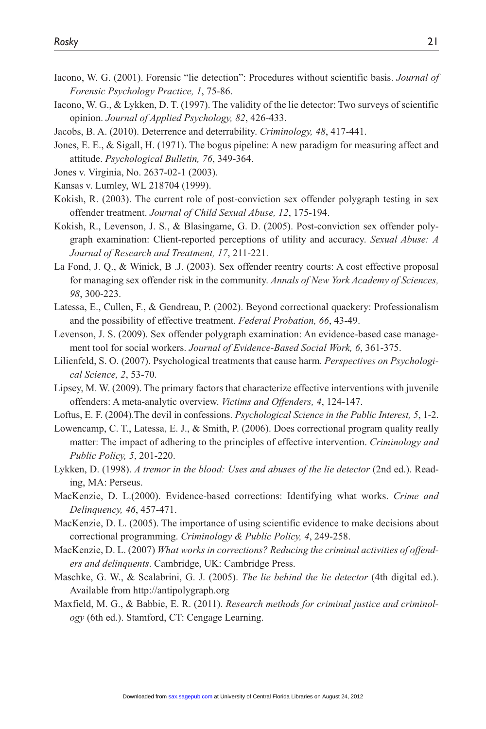- Iacono, W. G. (2001). Forensic "lie detection": Procedures without scientific basis. *Journal of Forensic Psychology Practice, 1*, 75-86.
- Iacono, W. G., & Lykken, D. T. (1997). The validity of the lie detector: Two surveys of scientific opinion. *Journal of Applied Psychology, 82*, 426-433.
- Jacobs, B. A. (2010). Deterrence and deterrability. *Criminology, 48*, 417-441.
- Jones, E. E., & Sigall, H. (1971). The bogus pipeline: A new paradigm for measuring affect and attitude. *Psychological Bulletin, 76*, 349-364.
- Jones v. Virginia, No. 2637-02-1 (2003).
- Kansas v. Lumley, WL 218704 (1999).
- Kokish, R. (2003). The current role of post-conviction sex offender polygraph testing in sex offender treatment. *Journal of Child Sexual Abuse, 12*, 175-194.
- Kokish, R., Levenson, J. S., & Blasingame, G. D. (2005). Post-conviction sex offender polygraph examination: Client-reported perceptions of utility and accuracy. *Sexual Abuse: A Journal of Research and Treatment, 17*, 211-221.
- La Fond, J. Q., & Winick, B .J. (2003). Sex offender reentry courts: A cost effective proposal for managing sex offender risk in the community. *Annals of New York Academy of Sciences, 98*, 300-223.
- Latessa, E., Cullen, F., & Gendreau, P. (2002). Beyond correctional quackery: Professionalism and the possibility of effective treatment. *Federal Probation, 66*, 43-49.
- Levenson, J. S. (2009). Sex offender polygraph examination: An evidence-based case management tool for social workers. *Journal of Evidence-Based Social Work, 6*, 361-375.
- Lilienfeld, S. O. (2007). Psychological treatments that cause harm*. Perspectives on Psychological Science, 2*, 53-70.
- Lipsey, M. W. (2009). The primary factors that characterize effective interventions with juvenile offenders: A meta-analytic overview. *Victims and Offenders, 4*, 124-147.
- Loftus, E. F. (2004).The devil in confessions. *Psychological Science in the Public Interest, 5*, 1-2.
- Lowencamp, C. T., Latessa, E. J., & Smith, P. (2006). Does correctional program quality really matter: The impact of adhering to the principles of effective intervention. *Criminology and Public Policy, 5*, 201-220.
- Lykken, D. (1998). *A tremor in the blood: Uses and abuses of the lie detector* (2nd ed.). Reading, MA: Perseus.
- MacKenzie, D. L.(2000). Evidence-based corrections: Identifying what works. *Crime and Delinquency, 46*, 457-471.
- MacKenzie, D. L. (2005). The importance of using scientific evidence to make decisions about correctional programming. *Criminology & Public Policy, 4*, 249-258.
- MacKenzie, D. L. (2007) *What works in corrections? Reducing the criminal activities of offenders and delinquents*. Cambridge, UK: Cambridge Press.
- Maschke, G. W., & Scalabrini, G. J. (2005). *The lie behind the lie detector* (4th digital ed.). Available from http://antipolygraph.org
- Maxfield, M. G., & Babbie, E. R. (2011). *Research methods for criminal justice and criminology* (6th ed.). Stamford, CT: Cengage Learning.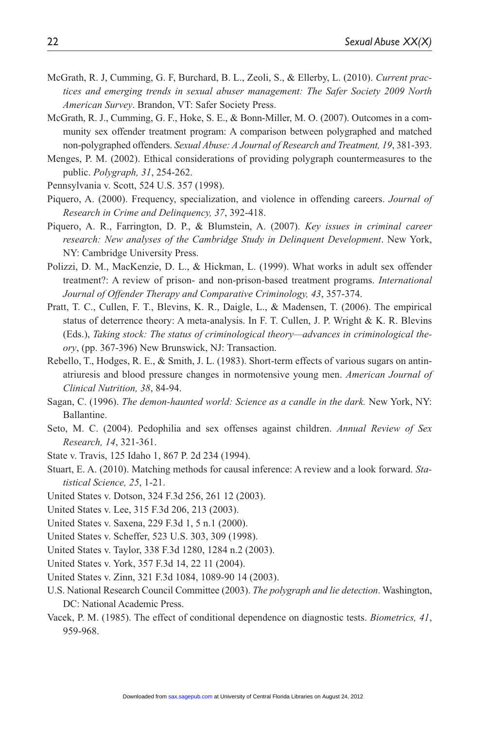- McGrath, R. J, Cumming, G. F, Burchard, B. L., Zeoli, S., & Ellerby, L. (2010). *Current practices and emerging trends in sexual abuser management: The Safer Society 2009 North American Survey*. Brandon, VT: Safer Society Press.
- McGrath, R. J., Cumming, G. F., Hoke, S. E., & Bonn-Miller, M. O. (2007). Outcomes in a community sex offender treatment program: A comparison between polygraphed and matched non-polygraphed offenders. *Sexual Abuse: A Journal of Research and Treatment, 19*, 381-393.
- Menges, P. M. (2002). Ethical considerations of providing polygraph countermeasures to the public. *Polygraph, 31*, 254-262.
- Pennsylvania v. Scott, 524 U.S. 357 (1998).
- Piquero, A. (2000). Frequency, specialization, and violence in offending careers. *Journal of Research in Crime and Delinquency, 37*, 392-418.
- Piquero, A. R., Farrington, D. P., & Blumstein, A. (2007). *Key issues in criminal career research: New analyses of the Cambridge Study in Delinquent Development*. New York, NY: Cambridge University Press.
- Polizzi, D. M., MacKenzie, D. L., & Hickman, L. (1999). What works in adult sex offender treatment?: A review of prison- and non-prison-based treatment programs. *International Journal of Offender Therapy and Comparative Criminology, 43*, 357-374.
- Pratt, T. C., Cullen, F. T., Blevins, K. R., Daigle, L., & Madensen, T. (2006). The empirical status of deterrence theory: A meta-analysis. In F. T. Cullen, J. P. Wright & K. R. Blevins (Eds.), *Taking stock: The status of criminological theory—advances in criminological theory*, (pp. 367-396) New Brunswick, NJ: Transaction.
- Rebello, T., Hodges, R. E., & Smith, J. L. (1983). Short-term effects of various sugars on antinatriuresis and blood pressure changes in normotensive young men. *American Journal of Clinical Nutrition, 38*, 84-94.
- Sagan, C. (1996). *The demon-haunted world: Science as a candle in the dark.* New York, NY: Ballantine.
- Seto, M. C. (2004). Pedophilia and sex offenses against children. *Annual Review of Sex Research, 14*, 321-361.
- State v. Travis, 125 Idaho 1, 867 P. 2d 234 (1994).
- Stuart, E. A. (2010). Matching methods for causal inference: A review and a look forward. *Statistical Science, 25*, 1-21.
- United States v. Dotson, 324 F.3d 256, 261 12 (2003).
- United States v. Lee, 315 F.3d 206, 213 (2003).
- United States v. Saxena, 229 F.3d 1, 5 n.1 (2000).
- United States v. Scheffer, 523 U.S. 303, 309 (1998).
- United States v. Taylor, 338 F.3d 1280, 1284 n.2 (2003).
- United States v. York, 357 F.3d 14, 22 11 (2004).
- United States v. Zinn, 321 F.3d 1084, 1089-90 14 (2003).
- U.S. National Research Council Committee (2003). *The polygraph and lie detection*. Washington, DC: National Academic Press.
- Vacek, P. M. (1985). The effect of conditional dependence on diagnostic tests. *Biometrics, 41*, 959-968.